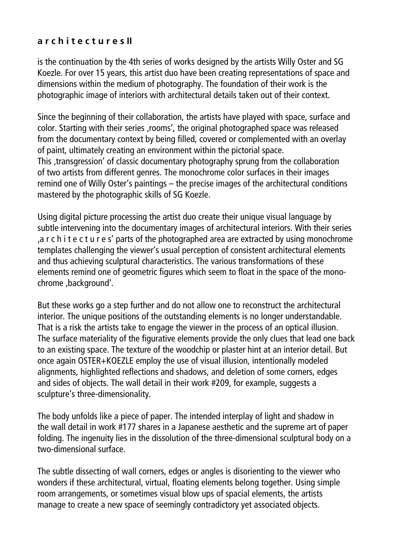## **a r c h i t e c t u r e s II**

is the continuation by the 4th series of works designed by the artists Willy Oster and SG Koezle. For over 15 years, this artist duo have been creating representations of space and dimensions within the medium of photography. The foundation of their work is the photographic image of interiors with architectural details taken out of their context.

Since the beginning of their collaboration, the artists have played with space, surface and color. Starting with their series ,rooms', the original photographed space was released from the documentary context by being filled, covered or complemented with an overlay of paint, ultimately creating an environment within the pictorial space. This , transgression' of classic documentary photography sprung from the collaboration of two artists from different genres. The monochrome color surfaces in their images remind one of Willy Oster's paintings – the precise images of the architectural conditions mastered by the photographic skills of SG Koezle.

Using digital picture processing the artist duo create their unique visual language by subtle intervening into the documentary images of architectural interiors. With their series 'a r c h i t e c t u r e s' parts of the photographed area are extracted by using monochrome templates challenging the viewer's usual perception of consistent architectural elements and thus achieving sculptural characteristics. The various transformations of these elements remind one of geometric figures which seem to float in the space of the monochrome ,background'.

But these works go a step further and do not allow one to reconstruct the architectural interior. The unique positions of the outstanding elements is no longer understandable. That is a risk the artists take to engage the viewer in the process of an optical illusion. The surface materiality of the figurative elements provide the only clues that lead one back to an existing space. The texture of the woodchip or plaster hint at an interior detail. But once again OSTER+KOEZLE employ the use of visual illusion, intentionally modeled alignments, highlighted reflections and shadows, and deletion of some corners, edges and sides of objects. The wall detail in their work #209, for example, suggests a sculpture's three-dimensionality.

The body unfolds like a piece of paper. The intended interplay of light and shadow in the wall detail in work #177 shares in a Japanese aesthetic and the supreme art of paper folding. The ingenuity lies in the dissolution of the three-dimensional sculptural body on a two-dimensional surface.

The subtle dissecting of wall corners, edges or angles is disorienting to the viewer who wonders if these architectural, virtual, floating elements belong together. Using simple room arrangements, or sometimes visual blow ups of spacial elements, the artists manage to create a new space of seemingly contradictory yet associated objects.